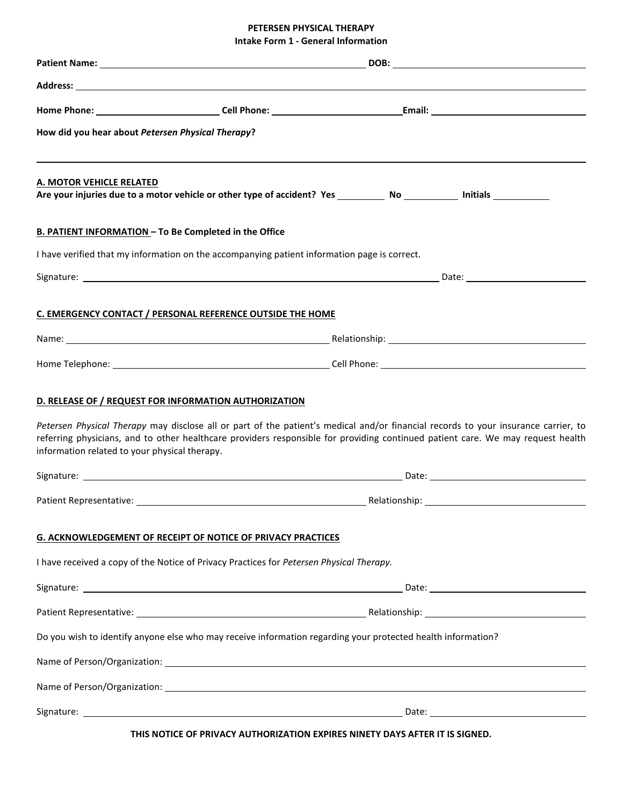# **PETERSEN PHYSICAL THERAPY Intake Form 1 - General Information**

|                                                                                                                                                                                                                                                                                                                                |                                                                     |               | DOB: Note that the same state of the same state of the same state of the same state of the same state of the same state of the same state of the same state of the same state of the same state of the same state of the same |
|--------------------------------------------------------------------------------------------------------------------------------------------------------------------------------------------------------------------------------------------------------------------------------------------------------------------------------|---------------------------------------------------------------------|---------------|-------------------------------------------------------------------------------------------------------------------------------------------------------------------------------------------------------------------------------|
| Address: <u>Address: Address: Address: Address: Address: Address: Address: Address: Address: Address: Address: Address: Address: Address: Address: Address: Address: Address: Address: Address: Address: Address: Address: Addre</u>                                                                                           |                                                                     |               |                                                                                                                                                                                                                               |
|                                                                                                                                                                                                                                                                                                                                |                                                                     |               |                                                                                                                                                                                                                               |
| How did you hear about Petersen Physical Therapy?                                                                                                                                                                                                                                                                              |                                                                     |               |                                                                                                                                                                                                                               |
| A. MOTOR VEHICLE RELATED                                                                                                                                                                                                                                                                                                       |                                                                     |               |                                                                                                                                                                                                                               |
| <b>B. PATIENT INFORMATION - To Be Completed in the Office</b>                                                                                                                                                                                                                                                                  |                                                                     |               |                                                                                                                                                                                                                               |
| I have verified that my information on the accompanying patient information page is correct.                                                                                                                                                                                                                                   |                                                                     |               |                                                                                                                                                                                                                               |
|                                                                                                                                                                                                                                                                                                                                |                                                                     |               |                                                                                                                                                                                                                               |
| C. EMERGENCY CONTACT / PERSONAL REFERENCE OUTSIDE THE HOME                                                                                                                                                                                                                                                                     |                                                                     |               |                                                                                                                                                                                                                               |
|                                                                                                                                                                                                                                                                                                                                |                                                                     |               |                                                                                                                                                                                                                               |
|                                                                                                                                                                                                                                                                                                                                |                                                                     |               |                                                                                                                                                                                                                               |
| D. RELEASE OF / REQUEST FOR INFORMATION AUTHORIZATION<br>Petersen Physical Therapy may disclose all or part of the patient's medical and/or financial records to your insurance carrier, to<br>referring physicians, and to other healthcare providers responsible for providing continued patient care. We may request health |                                                                     |               |                                                                                                                                                                                                                               |
| information related to your physical therapy.                                                                                                                                                                                                                                                                                  |                                                                     |               |                                                                                                                                                                                                                               |
|                                                                                                                                                                                                                                                                                                                                |                                                                     |               |                                                                                                                                                                                                                               |
| Patient Representative:                                                                                                                                                                                                                                                                                                        |                                                                     | Relationship: |                                                                                                                                                                                                                               |
|                                                                                                                                                                                                                                                                                                                                | <b>G. ACKNOWLEDGEMENT OF RECEIPT OF NOTICE OF PRIVACY PRACTICES</b> |               |                                                                                                                                                                                                                               |
|                                                                                                                                                                                                                                                                                                                                |                                                                     |               |                                                                                                                                                                                                                               |
| I have received a copy of the Notice of Privacy Practices for Petersen Physical Therapy.                                                                                                                                                                                                                                       |                                                                     |               |                                                                                                                                                                                                                               |
|                                                                                                                                                                                                                                                                                                                                |                                                                     |               |                                                                                                                                                                                                                               |
|                                                                                                                                                                                                                                                                                                                                |                                                                     |               |                                                                                                                                                                                                                               |
| Do you wish to identify anyone else who may receive information regarding your protected health information?                                                                                                                                                                                                                   |                                                                     |               |                                                                                                                                                                                                                               |
|                                                                                                                                                                                                                                                                                                                                |                                                                     |               |                                                                                                                                                                                                                               |
|                                                                                                                                                                                                                                                                                                                                |                                                                     |               |                                                                                                                                                                                                                               |

**THIS NOTICE OF PRIVACY AUTHORIZATION EXPIRES NINETY DAYS AFTER IT IS SIGNED.**